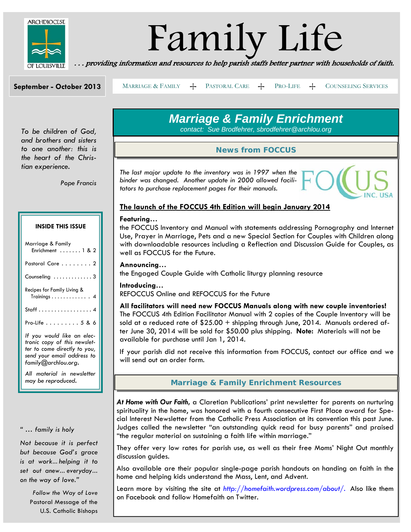

# Family Life . . . providing information and resources to help parish staffs better partner with households of faith.

**September - October 2013** 

MARRIAGE & FAMILY  $+$  PASTORAL CARE  $+$  PRO-LIFE  $+$  COUNSELING SERVICES

*To be children of God, and brothers and sisters to one another: this is the heart of the Christian experience.* 

*Pope Francis*

#### **INSIDE THIS ISSUE**

| Marriage & Family<br>Enrichment $\ldots \ldots$ 1 & 2                                                                                           |
|-------------------------------------------------------------------------------------------------------------------------------------------------|
| Pastoral Care 2                                                                                                                                 |
| Counseling $\ldots \ldots \ldots \ldots$ 3                                                                                                      |
| Recipes for Family Living &<br>$Training s \ldots \ldots \ldots \ldots 4$                                                                       |
| Staff 4                                                                                                                                         |
| $Pro$ -Life $\ldots \ldots \ldots 5$ & 6                                                                                                        |
| If you would like an elec-<br>tronic copy of this newslet-<br>ter to come directly to you,<br>send your email address to<br>family@archlou.org. |
| All material in newsletter<br>may be reproduced.                                                                                                |

#### *" … family is holy*

*Not because it is perfect but because God's grace is at work… helping it to set out anew… everyday… on the way of love."* 

> *Follow the Way of Love*  Pastoral Message of the U.S. Catholic Bishops

### *Marriage & Family Enrichment*

*contact: Sue Brodfehrer, sbrodfehrer@archlou.org* 

### *News from FOCCUS*

*The last major update to the inventory was in 1997 when the binder was changed. Another update in 2000 allowed facilitators to purchase replacement pages for their manuals.* 



#### **The launch of the FOCCUS 4th Edition will begin January 2014**

#### **Featuring…**

the FOCCUS Inventory and Manual with statements addressing Pornography and Internet Use, Prayer in Marriage, Pets and a new Special Section for Couples with Children along with downloadable resources including a Reflection and Discussion Guide for Couples, as well as FOCCUS for the Future.

#### **Announcing…**

the Engaged Couple Guide with Catholic liturgy planning resource

#### **Introducing…**

REFOCCUS Online and REFOCCUS for the Future

**All facilitators will need new FOCCUS Manuals along with new couple inventories!** The FOCCUS 4th Edition Facilitator Manual with 2 copies of the Couple Inventory will be sold at a reduced rate of  $$25.00 +$  shipping through June, 2014. Manuals ordered after June 30, 2014 will be sold for \$50.00 plus shipping. **Note:** Materials will not be available for purchase until Jan 1, 2014.

If your parish did not receive this information from FOCCUS, contact our office and we will send out an order form.

#### *Marriage & Family Enrichment Resources*

*At Home with Our Faith***,** a Claretian Publications' print newsletter for parents on nurturing spirituality in the home, was honored with a fourth consecutive First Place award for Special Interest Newsletter from the Catholic Press Association at its convention this past June. Judges called the newsletter "an outstanding quick read for busy parents" and praised "the regular material on sustaining a faith life within marriage."

They offer very low rates for parish use, as well as their free Moms' Night Out monthly discussion guides.

Also available are their popular single-page parish handouts on handing on faith in the home and helping kids understand the Mass, Lent, and Advent.

Learn more by visiting the site at *http://homefaith.wordpress.com/about/.* Also like them on Facebook and follow Homefaith on Twitter.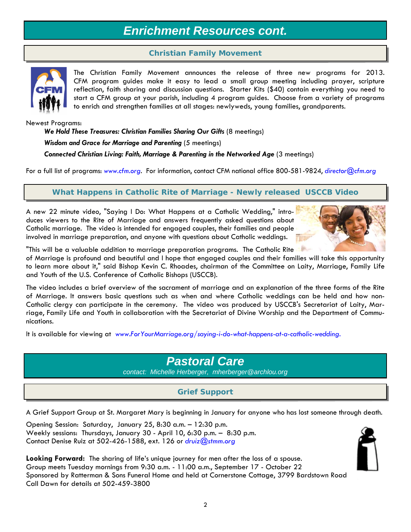### *Enrichment Resources cont.*

### *Christian Family Movement*



The Christian Family Movement announces the release of three new programs for 2013. CFM program guides make it easy to lead a small group meeting including prayer, scripture reflection, faith sharing and discussion questions. Starter Kits (\$40) contain everything you need to start a CFM group at your parish, including 4 program guides. Choose from a variety of programs to enrich and strengthen families at all stages: newlyweds, young families, grandparents.

Newest Programs:

We Hold These Treasures: Christian Families Sharing Our Gifts (8 meetings) *Wisdom and Grace for Marriage and Parenting* (5 meetings) **Connected Christian Living: Faith, Marriage & Parenting in the Networked Age** (3 meetings)

For a full list of programs: *www.cfm.org*. For information, contact CFM national office 800-581-9824, *director@cfm.org*

*What Happens in Catholic Rite of Marriage - Newly released USCCB Video*

A new 22 minute video, "Saying I Do: What Happens at a Catholic Wedding," introduces viewers to the Rite of Marriage and answers frequently asked questions about Catholic marriage. The video is intended for engaged couples, their families and people involved in marriage preparation, and anyone with questions about Catholic weddings.



"This will be a valuable addition to marriage preparation programs. The Catholic Rite

of Marriage is profound and beautiful and I hope that engaged couples and their families will take this opportunity to learn more about it," said Bishop Kevin C. Rhoades, chairman of the Committee on Laity, Marriage, Family Life and Youth of the U.S. Conference of Catholic Bishops (USCCB).

The video includes a brief overview of the sacrament of marriage and an explanation of the three forms of the Rite of Marriage. It answers basic questions such as when and where Catholic weddings can be held and how non-Catholic clergy can participate in the ceremony. The video was produced by USCCB's Secretariat of Laity, Marriage, Family Life and Youth in collaboration with the Secretariat of Divine Worship and the Department of Communications.

It is available for viewing at *www.ForYourMarriage.org/saying-i-do-what-happens-at-a-catholic-wedding.*

### *Pastoral Care*

*contact: Michelle Herberger, mherberger@archlou.org* 

### *Grief Support*

A Grief Support Group at St. Margaret Mary is beginning in January for anyone who has lost someone through death.

Opening Session: Saturday, January 25, 8:30 a.m. – 12:30 p.m. Weekly sessions: Thursdays, January 30 - April 10, 6:30 p.m. – 8:30 p.m. Contact Denise Ruiz at 502-426-1588, ext. 126 or *druiz@stmm.org*

**Looking Forward:** The sharing of life's unique journey for men after the loss of a spouse. Group meets Tuesday mornings from 9:30 a.m. - 11:00 a.m., September 17 - October 22 Sponsored by Ratterman & Sons Funeral Home and held at Cornerstone Cottage, 3799 Bardstown Road Call Dawn for details at 502-459-3800

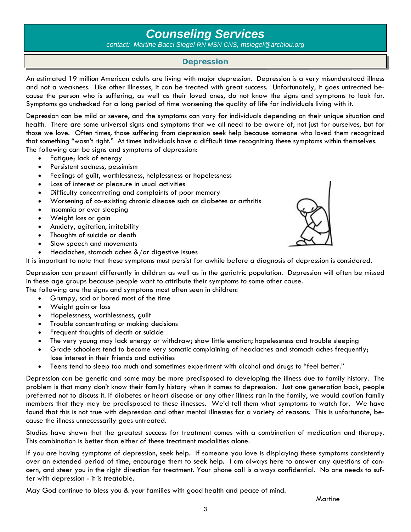### *Counseling Services*

*contact: Martine Bacci Siegel RN MSN CNS, msiegel@archlou.org*

#### *Depression*

An estimated 19 million American adults are living with major depression. Depression is a very misunderstood illness and not a weakness. Like other illnesses, it can be treated with great success. Unfortunately, it goes untreated because the person who is suffering, as well as their loved ones, do not know the signs and symptoms to look for. Symptoms go unchecked for a long period of time worsening the quality of life for individuals living with it.

Depression can be mild or severe, and the symptoms can vary for individuals depending on their unique situation and health. There are some universal signs and symptoms that we all need to be aware of, not just for ourselves, but for those we love. Often times, those suffering from depression seek help because someone who loved them recognized that something "wasn't right." At times individuals have a difficult time recognizing these symptoms within themselves. The following can be signs and symptoms of depression:

- Fatigue; lack of energy
- Persistent sadness, pessimism
- Feelings of guilt, worthlessness, helplessness or hopelessness
- Loss of interest or pleasure in usual activities
- Difficulty concentrating and complaints of poor memory
- Worsening of co-existing chronic disease such as diabetes or arthritis
- Insomnia or over sleeping
- Weight loss or gain
- Anxiety, agitation, irritability
- Thoughts of suicide or death
- Slow speech and movements
- Headaches, stomach aches &/or digestive issues

It is important to note that these symptoms must persist for awhile before a diagnosis of depression is considered.

Depression can present differently in children as well as in the geriatric population. Depression will often be missed in these age groups because people want to attribute their symptoms to some other cause.

The following are the signs and symptoms most often seen in children:

- Grumpy, sad or bored most of the time
- Weight gain or loss
- Hopelessness, worthlessness, guilt
- Trouble concentrating or making decisions
- Frequent thoughts of death or suicide
- The very young may lack energy or withdraw; show little emotion; hopelessness and trouble sleeping
- Grade schoolers tend to become very somatic complaining of headaches and stomach aches frequently; lose interest in their friends and activities
- Teens tend to sleep too much and sometimes experiment with alcohol and drugs to "feel better."

Depression can be genetic and some may be more predisposed to developing the illness due to family history. The problem is that many don't know their family history when it comes to depression. Just one generation back, people preferred not to discuss it. If diabetes or heart disease or any other illness ran in the family, we would caution family members that they may be predisposed to these illnesses. We'd tell them what symptoms to watch for. We have found that this is not true with depression and other mental illnesses for a variety of reasons. This is unfortunate, because the illness unnecessarily goes untreated.

Studies have shown that the greatest success for treatment comes with a combination of medication and therapy. This combination is better than either of these treatment modalities alone.

If you are having symptoms of depression, seek help. If someone you love is displaying these symptoms consistently over an extended period of time, encourage them to seek help. I am always here to answer any questions of concern, and steer you in the right direction for treatment. Your phone call is always confidential. No one needs to suffer with depression - it is treatable.

May God continue to bless you & your families with good health and peace of mind.

**Martine** 

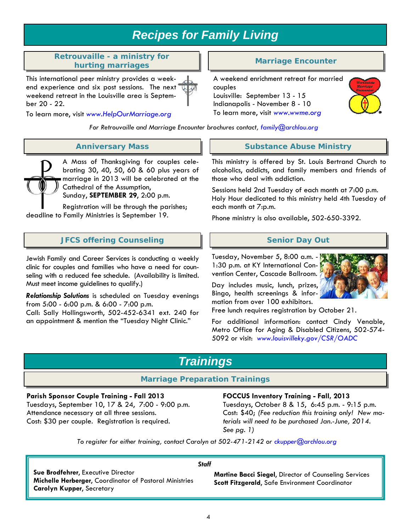### *Recipes for Family Living*

#### *Retrouvaille - a ministry for hurting marriages Marriage Encounter*

This international peer ministry provides a weekend experience and six post sessions. The next weekend retreat in the Louisville area is September 20 - 22.

To learn more, visit *www.HelpOurMarriage.org* 

*For Retrouvaille and Marriage Encounter brochures contact, family@archlou.org*

#### *Anniversary Mass*

A Mass of Thanksgiving for couples celebrating 30, 40, 50, 60 & 60 plus years of marriage in 2013 will be celebrated at the Cathedral of the Assumption,

Sunday, **SEPTEMBER 29**, 2:00 p.m.

Registration will be through the parishes; deadline to Family Ministries is September 19.

### *JFCS offering Counseling* **Senior Day Out**  Senior Day Out

Jewish Family and Career Services is conducting a weekly clinic for couples and families who have a need for counseling with a reduced fee schedule. (Availability is limited. Must meet income guidelines to qualify.)

*Relationship Solutions* is scheduled on Tuesday evenings from 5:00 - 6:00 p.m. & 6:00 - 7:00 p.m. Call: Sally Hollingsworth, 502-452-6341 ext. 240 for an appointment & mention the "Tuesday Night Clinic."

A weekend enrichment retreat for married couples Louisville: September 13 - 15 Indianapolis - November 8 - 10 To learn more, visit *www.wwme.org* 



#### *Substance Abuse Ministry*

This ministry is offered by St. Louis Bertrand Church to alcoholics, addicts, and family members and friends of those who deal with addiction.

Sessions held 2nd Tuesday of each month at 7:00 p.m. Holy Hour dedicated to this ministry held 4th Tuesday of each month at 7:p.m.

Phone ministry is also available, 502-650-3392.

Tuesday, November 5, 8:00 a.m. - 1:30 p.m. at KY International Convention Center, Cascade Ballroom.

Day includes music, lunch, prizes, Bingo, health screenings & information from over 100 exhibitors.



Free lunch requires registration by October 21.

For additional information: contact Cindy Venable, Metro Office for Aging & Disabled Citizens, 502-574- 5092 or visit: *www.louisvilleky.gov/CSR/OADC*

### *Trainings*

#### *Marriage Preparation Trainings*

#### **Parish Sponsor Couple Training - Fall 2013**

Tuesdays, September 10, 17 & 24, 7:00 - 9:00 p.m. Attendance necessary at all three sessions. Cost: \$30 per couple. Registration is required.

#### **FOCCUS Inventory Training - Fall, 2013**

Tuesdays, October 8 & 15, 6:45 p.m. - 9:15 p.m. Cost: \$40; *(Fee reduction this training only! New materials will need to be purchased Jan.-June, 2014. See pg. 1)* 

*To register for either training, contact Carolyn at 502-471-2142 or ckupper@archlou.org*

*Staff* 

**Sue Brodfehrer**, Executive Director **Michelle Herberger**, Coordinator of Pastoral Ministries **Carolyn Kupper**, Secretary

#### **Martine Bacci Siegel**, Director of Counseling Services **Scott Fitzgerald**, Safe Environment Coordinator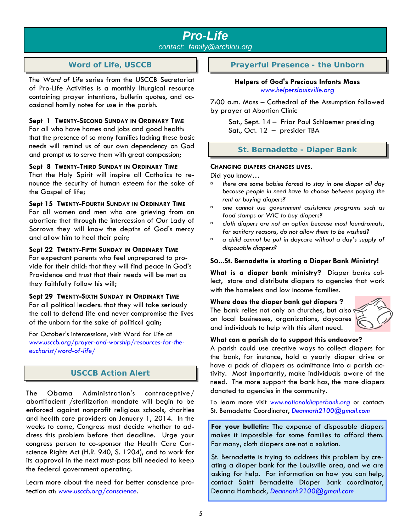## *Pro-Life*

*contact: family@archlou.org* 

#### *Word of Life, USCCB*

The *Word of Life* series from the USCCB Secretariat of Pro-Life Activities is a monthly liturgical resource containing prayer intentions, bulletin quotes, and occasional homily notes for use in the parish.

#### **Sept 1 TWENTY-SECOND SUNDAY IN ORDINARY TIME**

For all who have homes and jobs and good health: that the presence of so many families lacking these basic needs will remind us of our own dependency on God and prompt us to serve them with great compassion;

#### **Sept 8 TWENTY-THIRD SUNDAY IN ORDINARY TIME**

That the Holy Spirit will inspire all Catholics to renounce the security of human esteem for the sake of the Gospel of life;

#### **Sept 15 TWENTY-FOURTH SUNDAY IN ORDINARY TIME**

For all women and men who are grieving from an abortion: that through the intercession of Our Lady of Sorrows they will know the depths of God's mercy and allow him to heal their pain;

#### **Sept 22 TWENTY-FIFTH SUNDAY IN ORDINARY TIME**

For expectant parents who feel unprepared to provide for their child: that they will find peace in God's Providence and trust that their needs will be met as they faithfully follow his will;

#### **Sept 29 TWENTY-SIXTH SUNDAY IN ORDINARY TIME**

For all political leaders: that they will take seriously the call to defend life and never compromise the lives of the unborn for the sake of political gain;

For October's intercessions, visit Word for Life at *www.usccb.org/prayer-and-worship/resources-for-theeucharist/word-of-life/* 

#### *USCCB Action Alert*

The Obama Administration's contraceptive/ abortifacient /sterilization mandate will begin to be enforced against nonprofit religious schools, charities and health care providers on January 1, 2014. In the weeks to come, Congress must decide whether to address this problem before that deadline. Urge your congress person to co-sponsor the Health Care Conscience Rights Act (H.R. 940, S. 1204), and to work for its approval in the next must-pass bill needed to keep the federal government operating.

Learn more about the need for better conscience protection at: *www.usccb.org/conscience*.

*Prayerful Presence - the Unborn* 

#### **Helpers of God's Precious Infants Mass**  *www.helperslouisville.org*

7:00 a.m. Mass – Cathedral of the Assumption followed by prayer at Abortion Clinic

Sat., Sept. 14 – Friar Paul Schloemer presiding Sat., Oct. 12 – presider TBA

#### *St. Bernadette - Diaper Bank*

#### **CHANGING DIAPERS CHANGES LIVES.**

Did you know…

- à *there are some babies forced to stay in one diaper all day because people in need have to choose between paying the rent or buying diapers?*
- à *one cannot use government assistance programs such as food stamps or WIC to buy diapers?*
- à *cloth diapers are not an option because most laundromats, for sanitary reasons, do not allow them to be washed?*
- à *a child cannot be put in daycare without a day's supply of disposable diapers?*

#### **SO...St. Bernadette is starting a Diaper Bank Ministry!**

**What is a diaper bank ministry?** Diaper banks collect, store and distribute diapers to agencies that work with the homeless and low income families.

#### **Where does the diaper bank get diapers ?**

The bank relies not only on churches, but also on local businesses, organizations, daycares and individuals to help with this silent need.



#### **What can a parish do to support this endeavor?**

A parish could use creative ways to collect diapers for the bank, for instance, hold a yearly diaper drive or have a pack of diapers as admittance into a parish activity. Most importantly, make individuals aware of the need. The more support the bank has, the more diapers donated to agencies in the community.

To learn more visit *www.nationaldiaperbank.org* or contact: St. Bernadette Coordinator, *Deannarh2100@gmail.com*

**For your bulletin:** The expense of disposable diapers makes it impossible for some families to afford them. For many, cloth diapers are not a solution.

St. Bernadette is trying to address this problem by creating a diaper bank for the Louisville area, and we are asking for help. For information on how you can help, contact Saint Bernadette Diaper Bank coordinator, Deanna Hornback, *Deannarh2100@gmail.com*